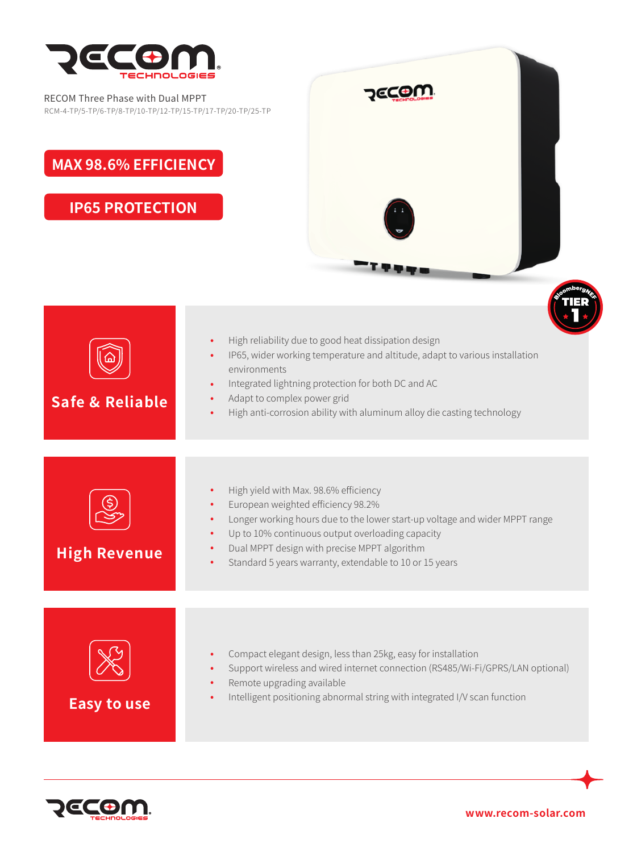

RECOM Three Phase with Dual MPPT RCM-4-TP/5-TP/6-TP/8-TP/10-TP/12-TP/15-TP/17-TP/20-TP/25-TP

## **MAX 98.6% EFFICIENCY**

**IP65 PROTECTION**







**www.recom-solar.com**